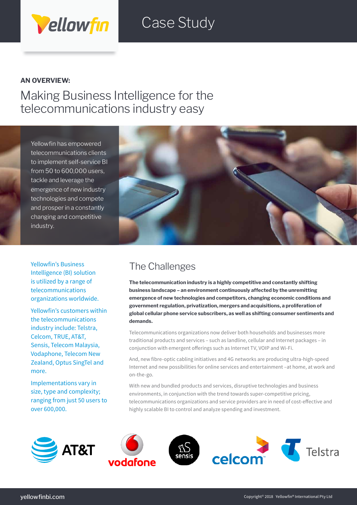## Case Study

### **AN OVERVIEW:**

Making Business Intelligence for the telecommunications industry easy

Yellowfin has empowered telecommunications clients to implement self-service BI from 50 to 600,000 users, tackle and leverage the emergence of new industry technologies and compete and prosper in a constantly changing and competitive industry.

Vellowfin



Yellowfin's Business Intelligence (BI) solution is utilized by a range of telecommunications organizations worldwide.

Yellowfin's customers within the telecommunications industry include: Telstra, Celcom, TRUE, AT&T, Sensis, Telecom Malaysia, Vodaphone, Telecom New Zealand, Optus SingTel and more.

Implementations vary in size, type and complexity; ranging from just 50 users to over 600,000.

## The Challenges

**The telecommunication industry is a highly competitive and constantly shifting business landscape – an environment continuously affected by the unremitting emergence of new technologies and competitors, changing economic conditions and government regulation, privatization, mergers and acquisitions, a proliferation of global cellular phone service subscribers, as well as shifting consumer sentiments and demands.**

Telecommunications organizations now deliver both households and businesses more traditional products and services – such as landline, cellular and Internet packages – in conjunction with emergent offerings such as Internet TV, VOIP and Wi-Fi.

And, new fibre-optic cabling initiatives and 4G networks are producing ultra-high-speed Internet and new possibilities for online services and entertainment –at home, at work and on-the-go.

With new and bundled products and services, disruptive technologies and business environments, in conjunction with the trend towards super-competitive pricing, telecommunications organizations and service providers are in need of cost-effective and highly scalable BI to control and analyze spending and investment.